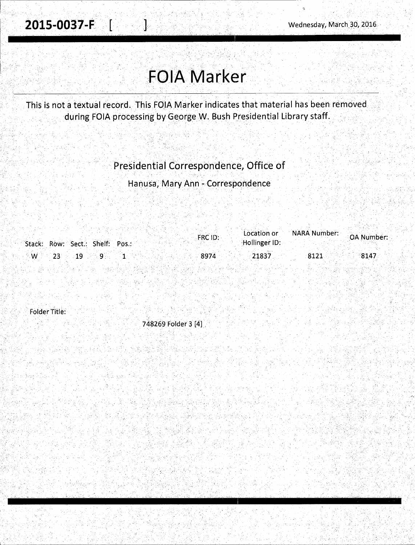I  $\mathbb{R}^{n \times n}$ 

## **FOlA Marker**

..•• ,v' *: ..* ,, '

. . . ' . : . . ., . .

... kj 11 de 2 de li Ad

This is not a textual record. This FQIA Marker indicates that material has been removed during FOIA processing by George w. Bush Presidential Library staff.

## Presidential Correspondence, Office of

Hanusa, Mary Ann - Correspondence

| <b>NARA Number:</b><br>Location or<br>FRC ID:      | OA Number: |
|----------------------------------------------------|------------|
| Stack: Row: Sect.: Shelf: Pos.:<br>Hollinger ID:   |            |
| $\mathsf{W} = 23$ 19 9<br>8974<br>$-21837$<br>8121 | 8147       |

Folder Title:

748269 Folder 3 [4] .·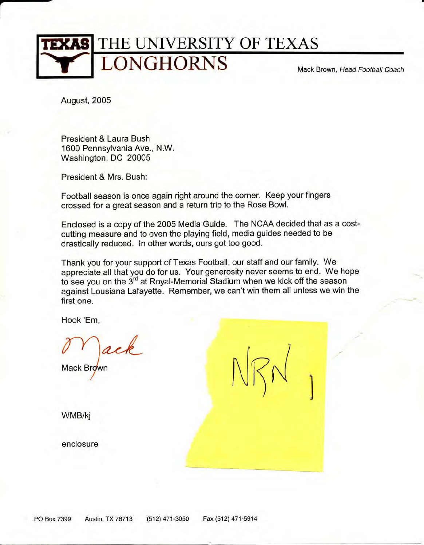

•

August, 2005

President & Laura Bush 1600 Pennsylvania Ave., N.W. Washington, DC 20005

President & Mrs. Bush:

Football season is once again right around the corner. Keep your fingers crossed for a great season and a return trip to the Rose Bowl.

Enclosed is a copy of the 2005 Media Guide. The NCAA decided that as a costcutting measure and to even the playing field, media guides needed to be drastically reduced. In other words, ours got too good.

Thank you for your support of Texas Football, our staff and our family. We appreciate all that you do for us. Your generosity never seems to end. We hope to see you on the 3<sup>rd</sup> at Royal-Memorial Stadium when we kick off the season against Lousiana Lafayette. Remember, we can't win them all unless we win the first one.

 $N_{\mathcal{R}}$ 

)

Hook 'Em,

ack

Mack Brown

WMB/kj

enclosure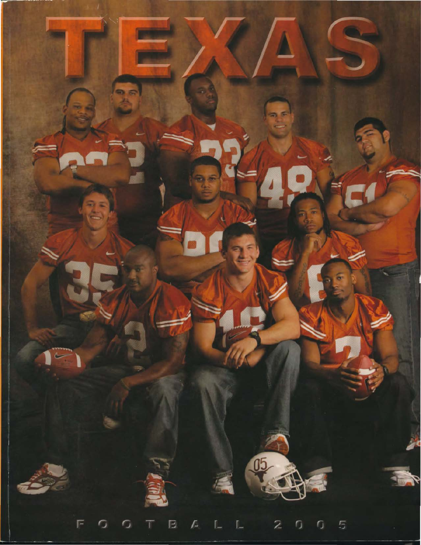